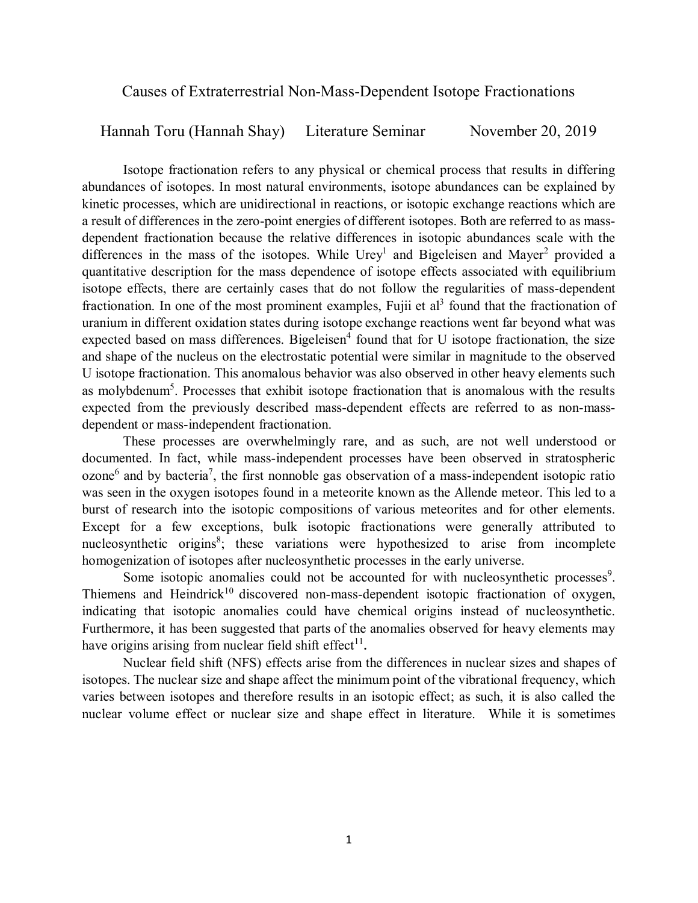Causes of Extraterrestrial Non-Mass-Dependent Isotope Fractionations

Hannah Toru (Hannah Shay) Literature Seminar November 20, 2019

Isotope fractionation refers to any physical or chemical process that results in differing abundances of isotopes. In most natural environments, isotope abundances can be explained by kinetic processes, which are unidirectional in reactions, or isotopic exchange reactions which are a result of differences in the zero-point energies of different isotopes. Both are referred to as massdependent fractionation because the relative differences in isotopic abundances scale with the differences in the mass of the isotopes. While  $Urey<sup>1</sup>$  and Bigeleisen and Mayer<sup>2</sup> provided a quantitative description for the mass dependence of isotope effects associated with equilibrium isotope effects, there are certainly cases that do not follow the regularities of mass-dependent fractionation. In one of the most prominent examples, Fujii et al<sup>3</sup> found that the fractionation of uranium in different oxidation states during isotope exchange reactions went far beyond what was expected based on mass differences. Bigeleisen<sup>4</sup> found that for U isotope fractionation, the size and shape of the nucleus on the electrostatic potential were similar in magnitude to the observed U isotope fractionation. This anomalous behavior was also observed in other heavy elements such as molybdenum<sup>5</sup>. Processes that exhibit isotope fractionation that is anomalous with the results expected from the previously described mass-dependent effects are referred to as non-massdependent or mass-independent fractionation.

These processes are overwhelmingly rare, and as such, are not well understood or documented. In fact, while mass-independent processes have been observed in stratospheric ozone<sup>6</sup> and by bacteria<sup>7</sup>, the first nonnoble gas observation of a mass-independent isotopic ratio was seen in the oxygen isotopes found in a meteorite known as the Allende meteor. This led to a burst of research into the isotopic compositions of various meteorites and for other elements. Except for a few exceptions, bulk isotopic fractionations were generally attributed to nucleosynthetic origins<sup>8</sup>; these variations were hypothesized to arise from incomplete homogenization of isotopes after nucleosynthetic processes in the early universe.

Some isotopic anomalies could not be accounted for with nucleosynthetic processes<sup>9</sup>. Thiemens and Heindrick<sup>10</sup> discovered non-mass-dependent isotopic fractionation of oxygen, indicating that isotopic anomalies could have chemical origins instead of nucleosynthetic. Furthermore, it has been suggested that parts of the anomalies observed for heavy elements may have origins arising from nuclear field shift effect<sup>11</sup>.

Nuclear field shift (NFS) effects arise from the differences in nuclear sizes and shapes of isotopes. The nuclear size and shape affect the minimum point of the vibrational frequency, which varies between isotopes and therefore results in an isotopic effect; as such, it is also called the nuclear volume effect or nuclear size and shape effect in literature. While it is sometimes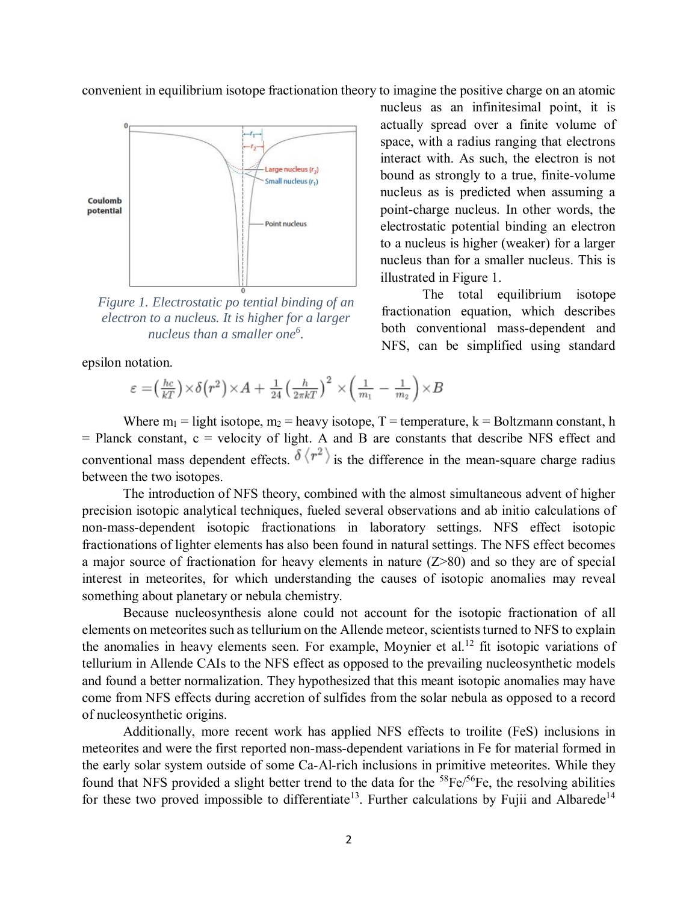convenient in equilibrium isotope fractionation theory to imagine the positive charge on an atomic



*Figure 1. Electrostatic po tential binding of an electron to a nucleus. It is higher for a larger nucleus than a smaller one<sup>6</sup> .*

epsilon notation.

$$
\varepsilon = \left(\frac{hc}{kT}\right) \times \delta\left(r^2\right) \times A + \frac{1}{24} \left(\frac{h}{2\pi kT}\right)^2 \times \left(\frac{1}{m_1} - \frac{1}{m_2}\right) \times B
$$

nucleus as an infinitesimal point, it is actually spread over a finite volume of space, with a radius ranging that electrons interact with. As such, the electron is not bound as strongly to a true, finite-volume nucleus as is predicted when assuming a point-charge nucleus. In other words, the electrostatic potential binding an electron to a nucleus is higher (weaker) for a larger nucleus than for a smaller nucleus. This is illustrated in Figure 1.

The total equilibrium isotope fractionation equation, which describes both conventional mass-dependent and NFS, can be simplified using standard

Where  $m_1$  = light isotope,  $m_2$  = heavy isotope, T = temperature, k = Boltzmann constant, h  $=$  Planck constant,  $c$  = velocity of light. A and B are constants that describe NFS effect and conventional mass dependent effects.  $\delta \langle r^2 \rangle$  is the difference in the mean-square charge radius between the two isotopes.

The introduction of NFS theory, combined with the almost simultaneous advent of higher precision isotopic analytical techniques, fueled several observations and ab initio calculations of non-mass-dependent isotopic fractionations in laboratory settings. NFS effect isotopic fractionations of lighter elements has also been found in natural settings. The NFS effect becomes a major source of fractionation for heavy elements in nature (Z>80) and so they are of special interest in meteorites, for which understanding the causes of isotopic anomalies may reveal something about planetary or nebula chemistry.

Because nucleosynthesis alone could not account for the isotopic fractionation of all elements on meteorites such as tellurium on the Allende meteor, scientists turned to NFS to explain the anomalies in heavy elements seen. For example, Moynier et al. <sup>12</sup> fit isotopic variations of tellurium in Allende CAIs to the NFS effect as opposed to the prevailing nucleosynthetic models and found a better normalization. They hypothesized that this meant isotopic anomalies may have come from NFS effects during accretion of sulfides from the solar nebula as opposed to a record of nucleosynthetic origins.

Additionally, more recent work has applied NFS effects to troilite (FeS) inclusions in meteorites and were the first reported non-mass-dependent variations in Fe for material formed in the early solar system outside of some Ca-Al-rich inclusions in primitive meteorites. While they found that NFS provided a slight better trend to the data for the  ${}^{58}Fe/{}^{56}Fe$ , the resolving abilities for these two proved impossible to differentiate<sup>13</sup>. Further calculations by Fujii and Albarede<sup>14</sup>